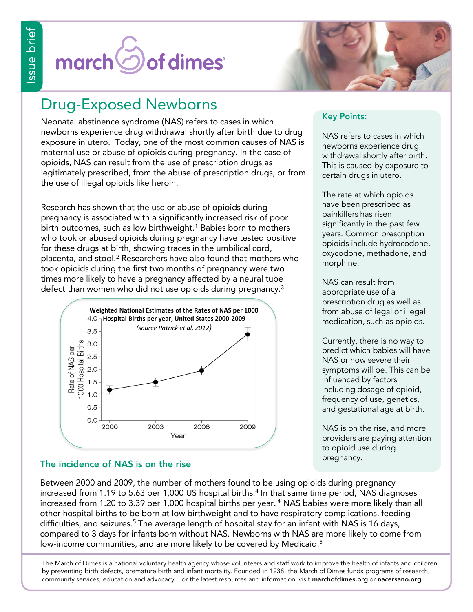# Sof dimes<sup>®</sup> march<sup>(</sup>



## Drug-Exposed Newborns

Neonatal abstinence syndrome (NAS) refers to cases in which newborns experience drug withdrawal shortly after birth due to drug exposure in utero. Today, one of the most common causes of NAS is maternal use or abuse of opioids during pregnancy. In the case of opioids, NAS can result from the use of prescription drugs as legitimately prescribed, from the abuse of prescription drugs, or from the use of illegal opioids like heroin.

Research has shown that the use or abuse of opioids during pregnancy is associated with a significantly increased risk of poor birth outcomes, such as low birthweight.<sup>1</sup> Babies born to mothers who took or abused opioids during pregnancy have tested positive for these drugs at birth, showing traces in the umbilical cord, placenta, and stool.<sup>2</sup> Researchers have also found that mothers who took opioids during the first two months of pregnancy were two times more likely to have a pregnancy affected by a neural tube defect than women who did not use opioids during pregnancy.<sup>3</sup>



### **Key Points:**

NAS refers to cases in which newborns experience drug withdrawal shortly after birth. This is caused by exposure to certain drugs in utero.

The rate at which opioids have been prescribed as painkillers has risen significantly in the past few years. Common prescription opioids include hydrocodone, oxycodone, methadone, and morphine.

NAS can result from appropriate use of a prescription drug as well as from abuse of legal or illegal medication, such as opioids.

Currently, there is no way to predict which babies will have NAS or how severe their symptoms will be. This can be influenced by factors including dosage of opioid, frequency of use, genetics, and gestational age at birth.

NAS is on the rise, and more providers are paying attention to opioid use during pregnancy.

## **The incidence of NAS is on the rise**

Between 2000 and 2009, the number of mothers found to be using opioids during pregnancy increased from 1.19 to 5.63 per 1,000 US hospital births.<sup>4</sup> In that same time period, NAS diagnoses increased from 1.20 to 3.39 per 1,000 hospital births per year. <sup>4</sup> NAS babies were more likely than all other hospital births to be born at low birthweight and to have respiratory complications, feeding difficulties, and seizures.<sup>5</sup> The average length of hospital stay for an infant with NAS is 16 days, compared to 3 days for infants born without NAS. Newborns with NAS are more likely to come from low-income communities, and are more likely to be covered by Medicaid.<sup>5</sup>

The March of Dimes is a national voluntary health agency whose volunteers and staff work to improve the health of infants and children by preventing birth defects, premature birth and infant mortality. Founded in 1938, the March of Dimes funds programs of research, community services, education and advocacy. For the latest resources and information, visit **marchofdimes.org** or **nacersano.org**.